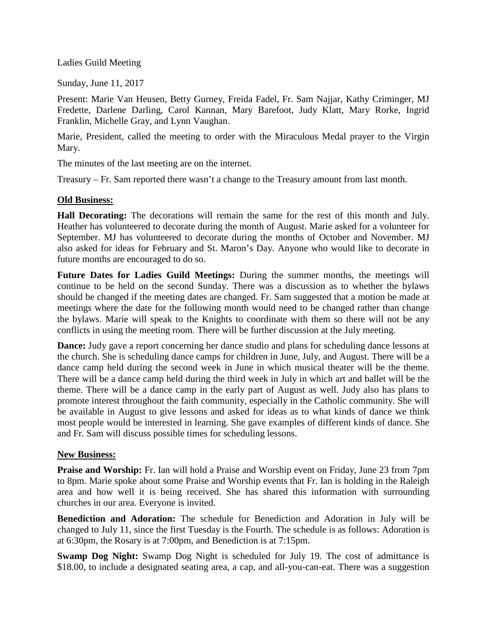Ladies Guild Meeting

Sunday, June 11, 2017

Present: Marie Van Heusen, Betty Gurney, Freida Fadel, Fr. Sam Najjar, Kathy Criminger, MJ Fredette, Darlene Darling, Carol Kannan, Mary Barefoot, Judy Klatt, Mary Rorke, Ingrid Franklin, Michelle Gray, and Lynn Vaughan.

Marie, President, called the meeting to order with the Miraculous Medal prayer to the Virgin Mary.

The minutes of the last meeting are on the internet.

Treasury – Fr. Sam reported there wasn't a change to the Treasury amount from last month.

## **Old Business:**

**Hall Decorating:** The decorations will remain the same for the rest of this month and July. Heather has volunteered to decorate during the month of August. Marie asked for a volunteer for September. MJ has volunteered to decorate during the months of October and November. MJ also asked for ideas for February and St. Maron's Day. Anyone who would like to decorate in future months are encouraged to do so.

**Future Dates for Ladies Guild Meetings:** During the summer months, the meetings will continue to be held on the second Sunday. There was a discussion as to whether the bylaws should be changed if the meeting dates are changed. Fr. Sam suggested that a motion be made at meetings where the date for the following month would need to be changed rather than change the bylaws. Marie will speak to the Knights to coordinate with them so there will not be any conflicts in using the meeting room. There will be further discussion at the July meeting.

**Dance:** Judy gave a report concerning her dance studio and plans for scheduling dance lessons at the church. She is scheduling dance camps for children in June, July, and August. There will be a dance camp held during the second week in June in which musical theater will be the theme. There will be a dance camp held during the third week in July in which art and ballet will be the theme. There will be a dance camp in the early part of August as well. Judy also has plans to promote interest throughout the faith community, especially in the Catholic community. She will be available in August to give lessons and asked for ideas as to what kinds of dance we think most people would be interested in learning. She gave examples of different kinds of dance. She and Fr. Sam will discuss possible times for scheduling lessons.

## **New Business:**

**Praise and Worship:** Fr. Ian will hold a Praise and Worship event on Friday, June 23 from 7pm to 8pm. Marie spoke about some Praise and Worship events that Fr. Ian is holding in the Raleigh area and how well it is being received. She has shared this information with surrounding churches in our area. Everyone is invited.

**Benediction and Adoration:** The schedule for Benediction and Adoration in July will be changed to July 11, since the first Tuesday is the Fourth. The schedule is as follows: Adoration is at 6:30pm, the Rosary is at 7:00pm, and Benediction is at 7:15pm.

**Swamp Dog Night:** Swamp Dog Night is scheduled for July 19. The cost of admittance is \$18.00, to include a designated seating area, a cap, and all-you-can-eat. There was a suggestion